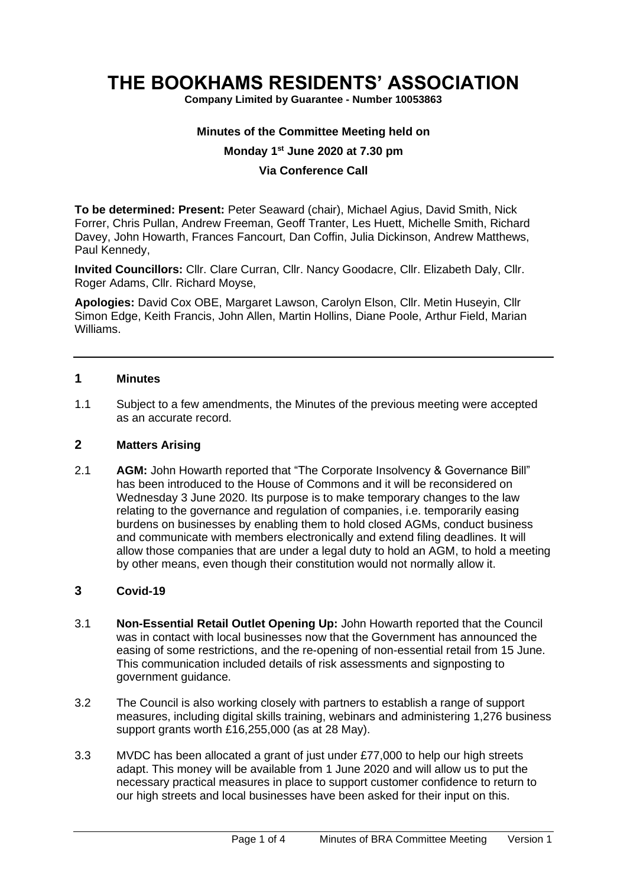# **THE BOOKHAMS RESIDENTS' ASSOCIATION**

**Company Limited by Guarantee - Number 10053863**

## **Minutes of the Committee Meeting held on**

## **Monday 1 st June 2020 at 7.30 pm**

## **Via Conference Call**

**To be determined: Present:** Peter Seaward (chair), Michael Agius, David Smith, Nick Forrer, Chris Pullan, Andrew Freeman, Geoff Tranter, Les Huett, Michelle Smith, Richard Davey, John Howarth, Frances Fancourt, Dan Coffin, Julia Dickinson, Andrew Matthews, Paul Kennedy,

**Invited Councillors:** Cllr. Clare Curran, Cllr. Nancy Goodacre, Cllr. Elizabeth Daly, Cllr. Roger Adams, Cllr. Richard Moyse,

**Apologies:** David Cox OBE, Margaret Lawson, Carolyn Elson, Cllr. Metin Huseyin, Cllr Simon Edge, Keith Francis, John Allen, Martin Hollins, Diane Poole, Arthur Field, Marian Williams.

### **1 Minutes**

1.1 Subject to a few amendments, the Minutes of the previous meeting were accepted as an accurate record.

## **2 Matters Arising**

2.1 **AGM:** John Howarth reported that "The Corporate Insolvency & Governance Bill" has been introduced to the House of Commons and it will be reconsidered on Wednesday 3 June 2020. Its purpose is to make temporary changes to the law relating to the governance and regulation of companies, i.e. temporarily easing burdens on businesses by enabling them to hold closed AGMs, conduct business and communicate with members electronically and extend filing deadlines. It will allow those companies that are under a legal duty to hold an AGM, to hold a meeting by other means, even though their constitution would not normally allow it.

## **3 Covid-19**

- 3.1 **Non-Essential Retail Outlet Opening Up:** John Howarth reported that the Council was in contact with local businesses now that the Government has announced the easing of some restrictions, and the re-opening of non-essential retail from 15 June. This communication included details of risk assessments and signposting to government guidance.
- 3.2 The Council is also working closely with partners to establish a range of support measures, including digital skills training, webinars and administering 1,276 business support grants worth £16,255,000 (as at 28 May).
- 3.3 MVDC has been allocated a grant of just under £77,000 to help our high streets adapt. This money will be available from 1 June 2020 and will allow us to put the necessary practical measures in place to support customer confidence to return to our high streets and local businesses have been asked for their input on this.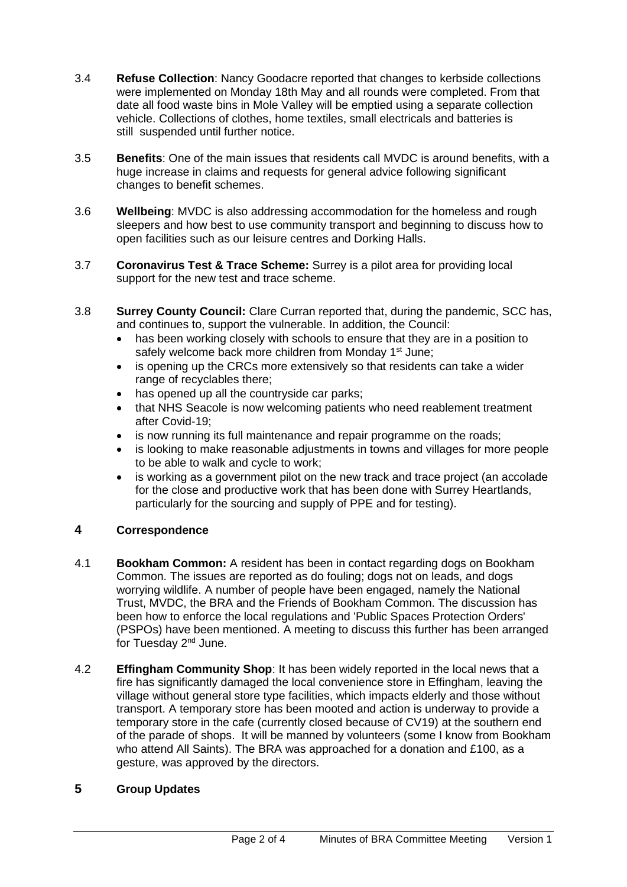- 3.4 **Refuse Collection**: Nancy Goodacre reported that changes to kerbside collections were implemented on Monday 18th May and all rounds were completed. From that date all food waste bins in Mole Valley will be emptied using a separate collection vehicle. Collections of clothes, home textiles, small electricals and batteries is still suspended until further notice.
- 3.5 **Benefits**: One of the main issues that residents call MVDC is around benefits, with a huge increase in claims and requests for general advice following significant changes to benefit schemes.
- 3.6 **Wellbeing**: MVDC is also addressing accommodation for the homeless and rough sleepers and how best to use community transport and beginning to discuss how to open facilities such as our leisure centres and Dorking Halls.
- 3.7 **Coronavirus Test & Trace Scheme:** Surrey is a pilot area for providing local support for the new test and trace scheme.
- 3.8 **Surrey County Council:** Clare Curran reported that, during the pandemic, SCC has, and continues to, support the vulnerable. In addition, the Council:
	- has been working closely with schools to ensure that they are in a position to safely welcome back more children from Monday 1<sup>st</sup> June;
	- is opening up the CRCs more extensively so that residents can take a wider range of recyclables there;
	- has opened up all the countryside car parks;
	- that NHS Seacole is now welcoming patients who need reablement treatment after Covid-19;
	- is now running its full maintenance and repair programme on the roads;
	- is looking to make reasonable adjustments in towns and villages for more people to be able to walk and cycle to work;
	- is working as a government pilot on the new track and trace project (an accolade for the close and productive work that has been done with Surrey Heartlands, particularly for the sourcing and supply of PPE and for testing).

# **4 Correspondence**

- 4.1 **Bookham Common:** A resident has been in contact regarding dogs on Bookham Common. The issues are reported as do fouling; dogs not on leads, and dogs worrying wildlife. A number of people have been engaged, namely the National Trust, MVDC, the BRA and the Friends of Bookham Common. The discussion has been how to enforce the local regulations and 'Public Spaces Protection Orders' (PSPOs) have been mentioned. A meeting to discuss this further has been arranged for Tuesday 2nd June.
- 4.2 **Effingham Community Shop**: It has been widely reported in the local news that a fire has significantly damaged the local convenience store in Effingham, leaving the village without general store type facilities, which impacts elderly and those without transport. A temporary store has been mooted and action is underway to provide a temporary store in the cafe (currently closed because of CV19) at the southern end of the parade of shops. It will be manned by volunteers (some I know from Bookham who attend All Saints). The BRA was approached for a donation and £100, as a gesture, was approved by the directors.

# **5 Group Updates**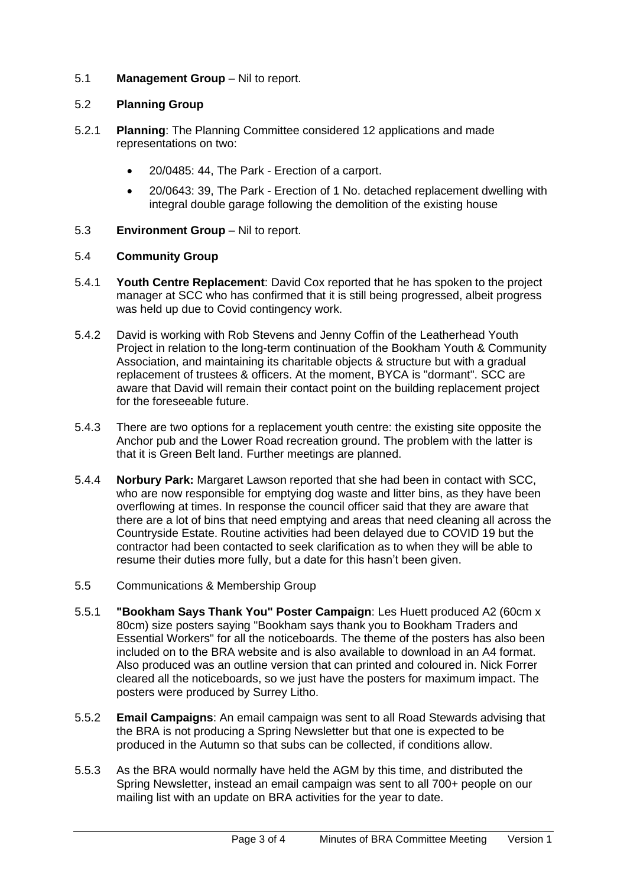# 5.1 **Management Group** – Nil to report.

# 5.2 **Planning Group**

- 5.2.1 **Planning**: The Planning Committee considered 12 applications and made representations on two:
	- 20/0485: 44, The Park Erection of a carport.
	- 20/0643: 39, The Park Erection of 1 No. detached replacement dwelling with integral double garage following the demolition of the existing house
- 5.3 **Environment Group** Nil to report.

# 5.4 **Community Group**

- 5.4.1 **Youth Centre Replacement**: David Cox reported that he has spoken to the project manager at SCC who has confirmed that it is still being progressed, albeit progress was held up due to Covid contingency work.
- 5.4.2 David is working with Rob Stevens and Jenny Coffin of the Leatherhead Youth Project in relation to the long-term continuation of the Bookham Youth & Community Association, and maintaining its charitable objects & structure but with a gradual replacement of trustees & officers. At the moment, BYCA is "dormant". SCC are aware that David will remain their contact point on the building replacement project for the foreseeable future.
- 5.4.3 There are two options for a replacement youth centre: the existing site opposite the Anchor pub and the Lower Road recreation ground. The problem with the latter is that it is Green Belt land. Further meetings are planned.
- 5.4.4 **Norbury Park:** Margaret Lawson reported that she had been in contact with SCC, who are now responsible for emptying dog waste and litter bins, as they have been overflowing at times. In response the council officer said that they are aware that there are a lot of bins that need emptying and areas that need cleaning all across the Countryside Estate. Routine activities had been delayed due to COVID 19 but the contractor had been contacted to seek clarification as to when they will be able to resume their duties more fully, but a date for this hasn't been given.
- 5.5 Communications & Membership Group
- 5.5.1 **"Bookham Says Thank You" Poster Campaign**: Les Huett produced A2 (60cm x 80cm) size posters saying "Bookham says thank you to Bookham Traders and Essential Workers" for all the noticeboards. The theme of the posters has also been included on to the BRA website and is also available to download in an A4 format. Also produced was an outline version that can printed and coloured in. Nick Forrer cleared all the noticeboards, so we just have the posters for maximum impact. The posters were produced by Surrey Litho.
- 5.5.2 **Email Campaigns**: An email campaign was sent to all Road Stewards advising that the BRA is not producing a Spring Newsletter but that one is expected to be produced in the Autumn so that subs can be collected, if conditions allow.
- 5.5.3 As the BRA would normally have held the AGM by this time, and distributed the Spring Newsletter, instead an email campaign was sent to all 700+ people on our mailing list with an update on BRA activities for the year to date.